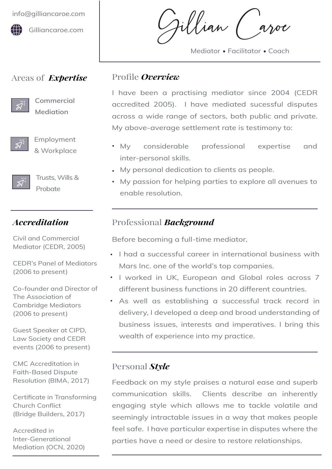

## Areas of *Expertise*



**[Commercial](#page-1-0)  Mediation**



Employment [& Workplace](#page-3-0) 



[Trusts, Wills &](#page-4-0)  Probate

## *Accreditation*

Civil and Commercial Mediator (CEDR, 2005)

CEDR's Panel of Mediators (2006 to present)

Co-founder and Director of The Association of Cambridge Mediators (2006 to present)

Guest Speaker at CIPD, Law Society and CEDR events (2006 to present)

CMC Accreditation in Faith-Based Dispute Resolution (BIMA, 2017)

Certificate in Transforming Church Conflict (Bridge Builders, 2017)

Accredited in Inter-Generational Mediation (OCN, 2020)

Gillian Caroe

Mediator • Facilitator • Coach

## Profile *Overview*

I have been a practising mediator since 2004 (CEDR accredited 2005). I have mediated sucessful disputes across a wide range of sectors, both public and private. My above-average settlement rate is testimony to:

- My considerable professional expertise and inter-personal skills.
- My personal dedication to clients as people.
- My passion for helping parties to explore all avenues to enable resolution.

# Professional *Background*

Before becoming a full-time mediator,

- I had a successful career in international business with Mars Inc. one of the world's top companies.
- $\cdot$  I worked in UK, European and Global roles across 7 different business functions in 20 different countries.
- As well as establishing a successful track record in delivery, I developed a deep and broad understanding of business issues, interests and imperatives. I bring this wealth of experience into my practice.

## Personal *Style*

Feedback on my style praises a natural ease and superb communication skills. Clients describe an inherently engaging style which allows me to tackle volatile and seemingly intractable issues in a way that makes people feel safe. I have particular expertise in disputes where the parties have a need or desire to restore relationships.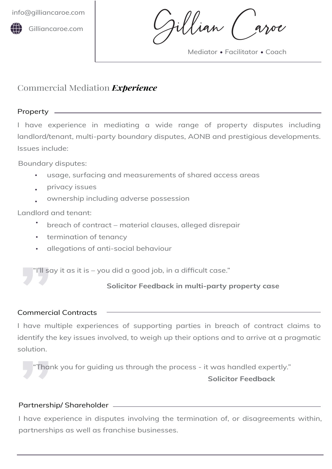

<span id="page-1-0"></span>[info@gilliancaroe.com](mailto:info@gilliancaroe.com)<br>
Gilliancaroe.com | Gilliancaroe.com | Gillian Ca

Mediator • Facilitator • Coach

# Commercial Mediation *Experience*

## Property

I have experience in mediating a wide range of property disputes including landlord/tenant, multi-party boundary disputes, AONB and prestigious developments. Issues include:

Boundary disputes:

- usage, surfacing and measurements of shared access areas
- privacy issues
- ownership including adverse possession

Landlord and tenant:

- breach of contract material clauses, alleged disrepair
- **•** termination of tenancy
- allegations of anti-social behaviour

### **Solicitor Feedback in multi-party property case**

#### Commercial Contracts

I have multiple experiences of supporting parties in breach of contract claims to identify the key issues involved, to weigh up their options and to arrive at a pragmatic solution. VIII say it as it is – you did a good job, in a difficult case."<br>Solicitor Feedback in multi-party p<br>Commercial Contracts<br>I have multiple experiences of supporting parties in bread<br>identify the key issues involved, to weig

"Thank you for guiding us through the process - it was handled expertly."

#### **Solicitor Feedback**

#### Partnership/ Shareholder

I have experience in disputes involving the termination of, or disagreements within, partnerships as well as franchise businesses. solution.<br>"Than"<br>Partnersh<br>I have exp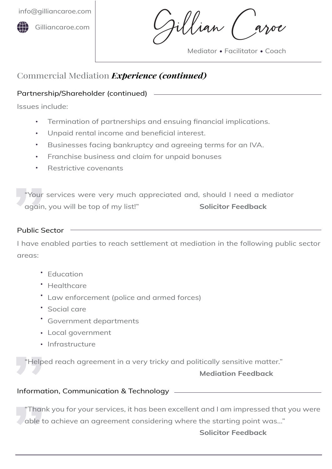

'lian (

Mediator • Facilitator • Coach

# Commercial Mediation *Experience (continued)*

#### Partnership/Shareholder (continued) **All and Shareholder** (continued)

Issues include:

- Termination of partnerships and ensuing financial implications.
- Unpaid rental income and beneficial interest.
- Businesses facing bankruptcy and agreeing terms for an IVA.
- Franchise business and claim for unpaid bonuses
- Restrictive covenants

"Your services were very much appreciated and, should I need a mediator again, you will be top of my list!" **Solicitor Feedback**

#### Public Sector

"Your<br>"<br>"again,<br>Public Se<br>I have er<br>areas: I have enabled parties to reach settlement at mediation in the following public sector areas:

- **Education**
- Healthcare
- Law enforcement (police and armed forces)
- Social care
- Government departments
- Local government
- Infrastructure

"Helped reach agreement in a very tricky and politically sensitive matter."

#### **Mediation Feedback**

#### Information, Communication & Technology

Helpe<br>
"Helpe"<br>
Informat<br>
"Thanl<br>
able to mormat<br>
"Thanl<br>
able to "Thank you for your services, it has been excellent and I am impressed that you were able to achieve an agreement considering where the starting point was…"

### **Solicitor Feedback**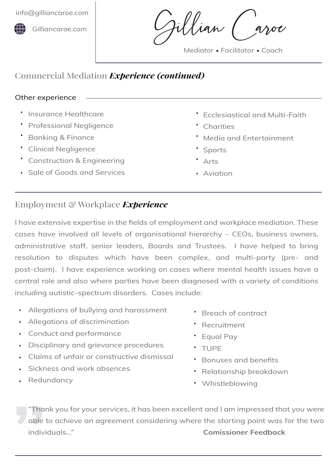<span id="page-3-0"></span>[info@gilliancaroe.com](mailto:info@gilliancaroe.com)



[Gilliancaroe.com](www.gilliancaroe.com)

'llian (

Mediator • Facilitator • Coach

## Commercial Mediation *Experience (continued)*

#### Other experience

- **Insurance Healthcare**
- Professional Negligence
- **Banking & Finance**
- Clinical Negligence
- Construction & Engineering
- Sale of Goods and Services
- Ecclesiastical and Multi-Faith
- Charities
- Media and Entertainment
- Sports
- Arts
- Aviation

## Employment & Workplace *Experience*

I have extensive expertise in the fields of employment and workplace mediation. These cases have involved all levels of organisational hierarchy – CEOs, business owners, administrative staff, senior leaders, Boards and Trustees. I have helped to bring resolution to disputes which have been complex, and multi-party (pre- and post-claim). I have experience working on cases where mental health issues have a central role and also where parties have been diagnosed with a variety of conditions including autistic-spectrum disorders. Cases include:

- Allegations of bullying and harassment
- Allegations of discrimination
- Conduct and performance
- Disciplinary and grievance procedures
- Claims of unfair or constructive dismissal
- Sickness and work absences
- Redundancy
- Breach of contract
- Recruitment
- Equal Pay
- TUPE
- Bonuses and benefits
- Relationship breakdown
- Whistleblowing

Thar<br>
able t<br>
indivi "Thank you for your services, it has been excellent and I am impressed that you were able to achieve an agreement considering where the starting point was for the two individuals..." **Comissioner Feedback**